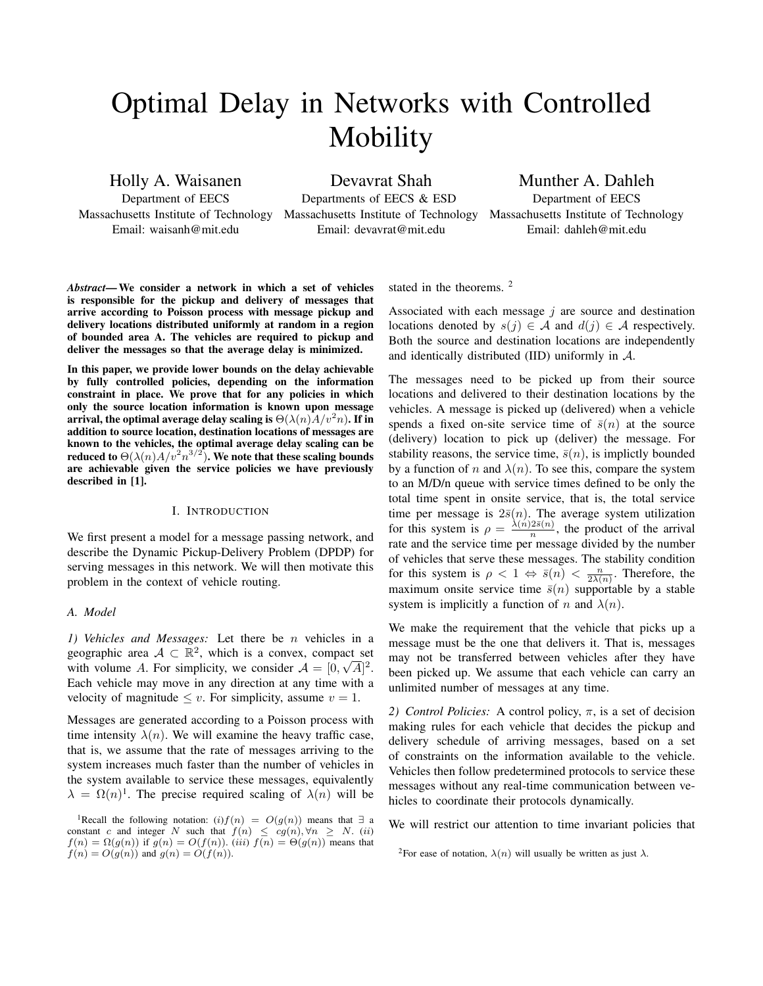# Optimal Delay in Networks with Controlled Mobility

Holly A. Waisanen

Department of EECS Massachusetts Institute of Technology Email: waisanh@mit.edu

Devavrat Shah Departments of EECS & ESD Massachusetts Institute of Technology

Email: devavrat@mit.edu

Munther A. Dahleh Department of EECS Massachusetts Institute of Technology Email: dahleh@mit.edu

*Abstract*— We consider a network in which a set of vehicles is responsible for the pickup and delivery of messages that arrive according to Poisson process with message pickup and delivery locations distributed uniformly at random in a region of bounded area A. The vehicles are required to pickup and deliver the messages so that the average delay is minimized.

In this paper, we provide lower bounds on the delay achievable by fully controlled policies, depending on the information constraint in place. We prove that for any policies in which only the source location information is known upon message arrival, the optimal average delay scaling is  $\Theta(\lambda(n)A/v^2n)$ . If in addition to source location, destination locations of messages are known to the vehicles, the optimal average delay scaling can be reduced to  $\Theta(\lambda(n)A/v^2n^{3/2})$ . We note that these scaling bounds are achievable given the service policies we have previously described in [1].

## I. INTRODUCTION

We first present a model for a message passing network, and describe the Dynamic Pickup-Delivery Problem (DPDP) for serving messages in this network. We will then motivate this problem in the context of vehicle routing.

# *A. Model*

*1) Vehicles and Messages:* Let there be n vehicles in a geographic area  $A \subset \mathbb{R}^2$ , which is a convex, compact set with volume A. For simplicity, we consider  $A = [0, \sqrt{A}]^2$ . Each vehicle may move in any direction at any time with a velocity of magnitude  $\leq v$ . For simplicity, assume  $v = 1$ .

Messages are generated according to a Poisson process with time intensity  $\lambda(n)$ . We will examine the heavy traffic case, that is, we assume that the rate of messages arriving to the system increases much faster than the number of vehicles in the system available to service these messages, equivalently  $\lambda = \Omega(n)^1$ . The precise required scaling of  $\lambda(n)$  will be stated in the theorems.<sup>2</sup>

Associated with each message  $j$  are source and destination locations denoted by  $s(j) \in A$  and  $d(j) \in A$  respectively. Both the source and destination locations are independently and identically distributed (IID) uniformly in A.

The messages need to be picked up from their source locations and delivered to their destination locations by the vehicles. A message is picked up (delivered) when a vehicle spends a fixed on-site service time of  $\bar{s}(n)$  at the source (delivery) location to pick up (deliver) the message. For stability reasons, the service time,  $\bar{s}(n)$ , is implictly bounded by a function of n and  $\lambda(n)$ . To see this, compare the system to an M/D/n queue with service times defined to be only the total time spent in onsite service, that is, the total service time per message is  $2\bar{s}(n)$ . The average system utilization for this system is  $\rho = \frac{\lambda(n)2\bar{s}(n)}{n}$  $\frac{2s(n)}{n}$ , the product of the arrival rate and the service time per message divided by the number of vehicles that serve these messages. The stability condition for this system is  $\rho < 1 \Leftrightarrow \bar{s}(n) < \frac{n}{2\lambda(n)}$ . Therefore, the maximum onsite service time  $\bar{s}(n)$  supportable by a stable system is implicitly a function of n and  $\lambda(n)$ .

We make the requirement that the vehicle that picks up a message must be the one that delivers it. That is, messages may not be transferred between vehicles after they have been picked up. We assume that each vehicle can carry an unlimited number of messages at any time.

2) *Control Policies:* A control policy,  $π$ , is a set of decision making rules for each vehicle that decides the pickup and delivery schedule of arriving messages, based on a set of constraints on the information available to the vehicle. Vehicles then follow predetermined protocols to service these messages without any real-time communication between vehicles to coordinate their protocols dynamically.

We will restrict our attention to time invariant policies that

<sup>&</sup>lt;sup>1</sup>Recall the following notation:  $(i) f(n) = O(g(n))$  means that ∃ a constant c and integer N such that  $f(n) \le cg(n), \forall n \ge N$ . (ii)  $f(n) = \Omega(g(n))$  if  $g(n) = O(f(n))$ . (iii)  $f(n) = \Theta(g(n))$  means that  $f(n) = O(g(n))$  and  $g(n) = O(f(n)).$ 

<sup>&</sup>lt;sup>2</sup>For ease of notation,  $\lambda(n)$  will usually be written as just  $\lambda$ .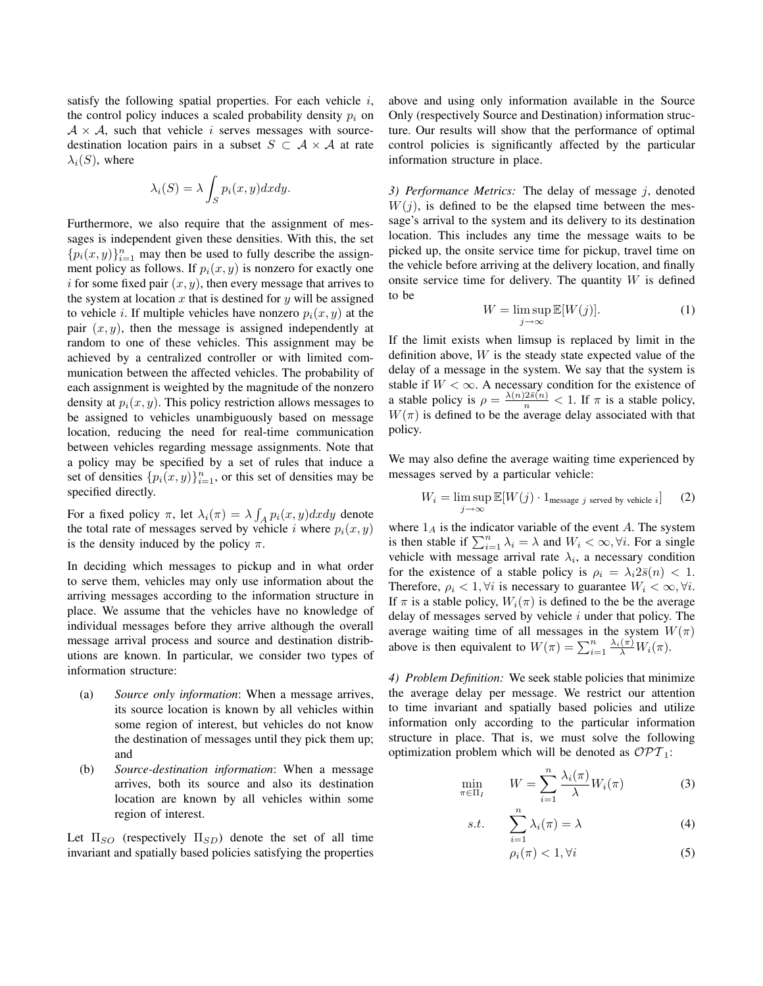satisfy the following spatial properties. For each vehicle  $i$ , the control policy induces a scaled probability density  $p_i$  on  $A \times A$ , such that vehicle *i* serves messages with sourcedestination location pairs in a subset  $S \subset A \times A$  at rate  $\lambda_i(S)$ , where

$$
\lambda_i(S) = \lambda \int_S p_i(x, y) dx dy.
$$

Furthermore, we also require that the assignment of messages is independent given these densities. With this, the set  ${p_i(x, y)}_{i=1}^n$  may then be used to fully describe the assignment policy as follows. If  $p_i(x, y)$  is nonzero for exactly one i for some fixed pair  $(x, y)$ , then every message that arrives to the system at location x that is destined for y will be assigned to vehicle *i*. If multiple vehicles have nonzero  $p_i(x, y)$  at the pair  $(x, y)$ , then the message is assigned independently at random to one of these vehicles. This assignment may be achieved by a centralized controller or with limited communication between the affected vehicles. The probability of each assignment is weighted by the magnitude of the nonzero density at  $p_i(x, y)$ . This policy restriction allows messages to be assigned to vehicles unambiguously based on message location, reducing the need for real-time communication between vehicles regarding message assignments. Note that a policy may be specified by a set of rules that induce a set of densities  $\{p_i(x, y)\}_{i=1}^n$ , or this set of densities may be specified directly.

For a fixed policy  $\pi$ , let  $\lambda_i(\pi) = \lambda \int_A p_i(x, y) dx dy$  denote the total rate of messages served by vehicle i where  $p_i(x, y)$ is the density induced by the policy  $\pi$ .

In deciding which messages to pickup and in what order to serve them, vehicles may only use information about the arriving messages according to the information structure in place. We assume that the vehicles have no knowledge of individual messages before they arrive although the overall message arrival process and source and destination distributions are known. In particular, we consider two types of information structure:

- (a) *Source only information*: When a message arrives, its source location is known by all vehicles within some region of interest, but vehicles do not know the destination of messages until they pick them up; and
- (b) *Source-destination information*: When a message arrives, both its source and also its destination location are known by all vehicles within some region of interest.

Let  $\Pi_{SO}$  (respectively  $\Pi_{SD}$ ) denote the set of all time invariant and spatially based policies satisfying the properties above and using only information available in the Source Only (respectively Source and Destination) information structure. Our results will show that the performance of optimal control policies is significantly affected by the particular information structure in place.

*3) Performance Metrics:* The delay of message j, denoted  $W(j)$ , is defined to be the elapsed time between the message's arrival to the system and its delivery to its destination location. This includes any time the message waits to be picked up, the onsite service time for pickup, travel time on the vehicle before arriving at the delivery location, and finally onsite service time for delivery. The quantity  $W$  is defined to be

$$
W = \limsup_{j \to \infty} \mathbb{E}[W(j)]. \tag{1}
$$

If the limit exists when limsup is replaced by limit in the definition above,  $W$  is the steady state expected value of the delay of a message in the system. We say that the system is stable if  $W < \infty$ . A necessary condition for the existence of a stable policy is  $\rho = \frac{\lambda(n)2\bar{s}(n)}{n} < 1$ . If  $\pi$  is a stable policy,  $W(\pi)$  is defined to be the average delay associated with that policy.

We may also define the average waiting time experienced by messages served by a particular vehicle:

$$
W_i = \limsup_{j \to \infty} \mathbb{E}[W(j) \cdot 1_{\text{message } j \text{ served by vehicle } i}] \tag{2}
$$

where  $1_A$  is the indicator variable of the event A. The system is then stable if  $\sum_{i=1}^{n} \lambda_i = \lambda$  and  $W_i < \infty$ ,  $\forall i$ . For a single vehicle with message arrival rate  $\lambda_i$ , a necessary condition for the existence of a stable policy is  $\rho_i = \lambda_i 2\bar{s}(n) < 1$ . Therefore,  $\rho_i < 1, \forall i$  is necessary to guarantee  $W_i < \infty, \forall i$ . If  $\pi$  is a stable policy,  $W_i(\pi)$  is defined to the be the average delay of messages served by vehicle  $i$  under that policy. The average waiting time of all messages in the system  $W(\pi)$ above is then equivalent to  $W(\pi) = \sum_{i=1}^{n} \frac{\lambda_i(\pi)}{\lambda} W_i(\pi)$ .

*4) Problem Definition:* We seek stable policies that minimize the average delay per message. We restrict our attention to time invariant and spatially based policies and utilize information only according to the particular information structure in place. That is, we must solve the following optimization problem which will be denoted as  $\mathcal{OPT}_1$ :

$$
\min_{\pi \in \Pi_I} \qquad W = \sum_{i=1}^n \frac{\lambda_i(\pi)}{\lambda} W_i(\pi) \tag{3}
$$

$$
s.t. \qquad \sum_{i=1}^{n} \lambda_i(\pi) = \lambda \tag{4}
$$

$$
\rho_i(\pi) < 1, \forall i \tag{5}
$$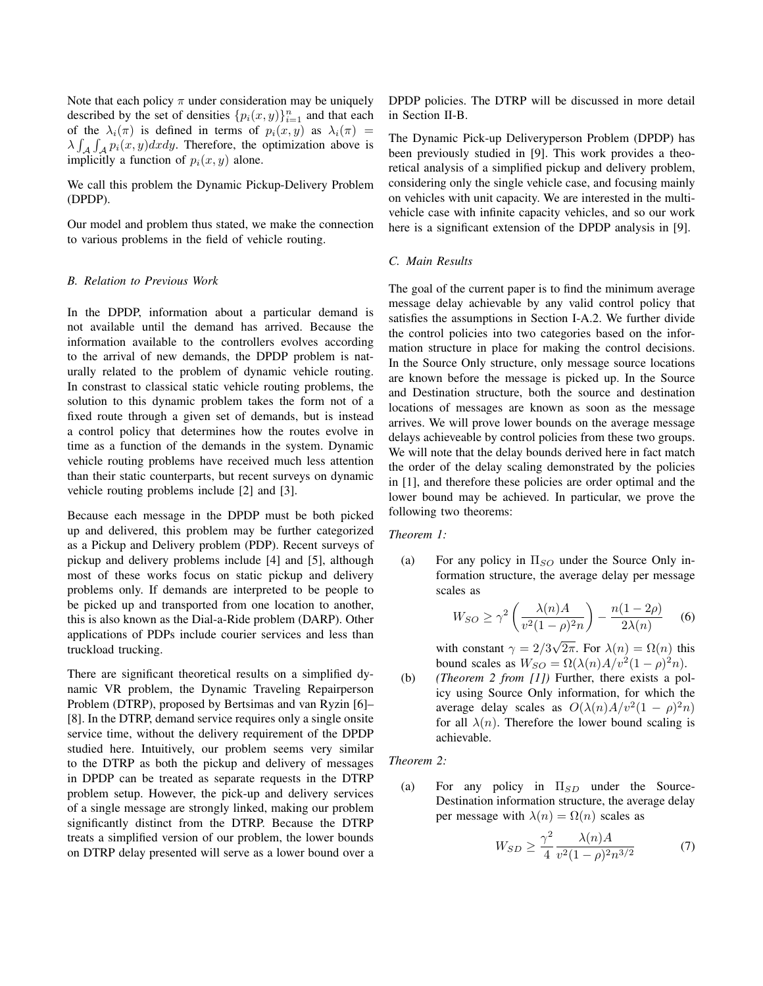Note that each policy  $\pi$  under consideration may be uniquely described by the set of densities  ${p_i(x, y)}_{i=1}^n$  and that each of the  $\lambda_i(\pi)$  is defined in terms of  $p_i(x, y)$  as  $\lambda_i(\pi)$  =  $\lambda \int_{A} \int_{A} p_i(x, y) dxdy$ . Therefore, the optimization above is implicitly a function of  $p_i(x, y)$  alone.

We call this problem the Dynamic Pickup-Delivery Problem (DPDP).

Our model and problem thus stated, we make the connection to various problems in the field of vehicle routing.

# *B. Relation to Previous Work*

In the DPDP, information about a particular demand is not available until the demand has arrived. Because the information available to the controllers evolves according to the arrival of new demands, the DPDP problem is naturally related to the problem of dynamic vehicle routing. In constrast to classical static vehicle routing problems, the solution to this dynamic problem takes the form not of a fixed route through a given set of demands, but is instead a control policy that determines how the routes evolve in time as a function of the demands in the system. Dynamic vehicle routing problems have received much less attention than their static counterparts, but recent surveys on dynamic vehicle routing problems include [2] and [3].

Because each message in the DPDP must be both picked up and delivered, this problem may be further categorized as a Pickup and Delivery problem (PDP). Recent surveys of pickup and delivery problems include [4] and [5], although most of these works focus on static pickup and delivery problems only. If demands are interpreted to be people to be picked up and transported from one location to another, this is also known as the Dial-a-Ride problem (DARP). Other applications of PDPs include courier services and less than truckload trucking.

There are significant theoretical results on a simplified dynamic VR problem, the Dynamic Traveling Repairperson Problem (DTRP), proposed by Bertsimas and van Ryzin [6]– [8]. In the DTRP, demand service requires only a single onsite service time, without the delivery requirement of the DPDP studied here. Intuitively, our problem seems very similar to the DTRP as both the pickup and delivery of messages in DPDP can be treated as separate requests in the DTRP problem setup. However, the pick-up and delivery services of a single message are strongly linked, making our problem significantly distinct from the DTRP. Because the DTRP treats a simplified version of our problem, the lower bounds on DTRP delay presented will serve as a lower bound over a DPDP policies. The DTRP will be discussed in more detail in Section II-B.

The Dynamic Pick-up Deliveryperson Problem (DPDP) has been previously studied in [9]. This work provides a theoretical analysis of a simplified pickup and delivery problem, considering only the single vehicle case, and focusing mainly on vehicles with unit capacity. We are interested in the multivehicle case with infinite capacity vehicles, and so our work here is a significant extension of the DPDP analysis in [9].

# *C. Main Results*

The goal of the current paper is to find the minimum average message delay achievable by any valid control policy that satisfies the assumptions in Section I-A.2. We further divide the control policies into two categories based on the information structure in place for making the control decisions. In the Source Only structure, only message source locations are known before the message is picked up. In the Source and Destination structure, both the source and destination locations of messages are known as soon as the message arrives. We will prove lower bounds on the average message delays achieveable by control policies from these two groups. We will note that the delay bounds derived here in fact match the order of the delay scaling demonstrated by the policies in [1], and therefore these policies are order optimal and the lower bound may be achieved. In particular, we prove the following two theorems:

## *Theorem 1:*

(a) For any policy in  $\Pi_{SO}$  under the Source Only information structure, the average delay per message scales as

$$
W_{SO} \ge \gamma^2 \left(\frac{\lambda(n)A}{v^2(1-\rho)^2 n}\right) - \frac{n(1-2\rho)}{2\lambda(n)} \tag{6}
$$

with constant  $\gamma = 2/3$ 2π. For  $\lambda(n) = \Omega(n)$  this bound scales as  $W_{SO} = \Omega(\lambda(n)A/v^2(1-\rho)^2n)$ .

(b) *(Theorem 2 from [1])* Further, there exists a policy using Source Only information, for which the average delay scales as  $O(\lambda(n)A/v^2(1-\rho)^2n)$ for all  $\lambda(n)$ . Therefore the lower bound scaling is achievable.

### *Theorem 2:*

(a) For any policy in  $\Pi_{SD}$  under the Source-Destination information structure, the average delay per message with  $\lambda(n) = \Omega(n)$  scales as

$$
W_{SD} \ge \frac{\gamma^2}{4} \frac{\lambda(n)A}{v^2(1-\rho)^2 n^{3/2}}\tag{7}
$$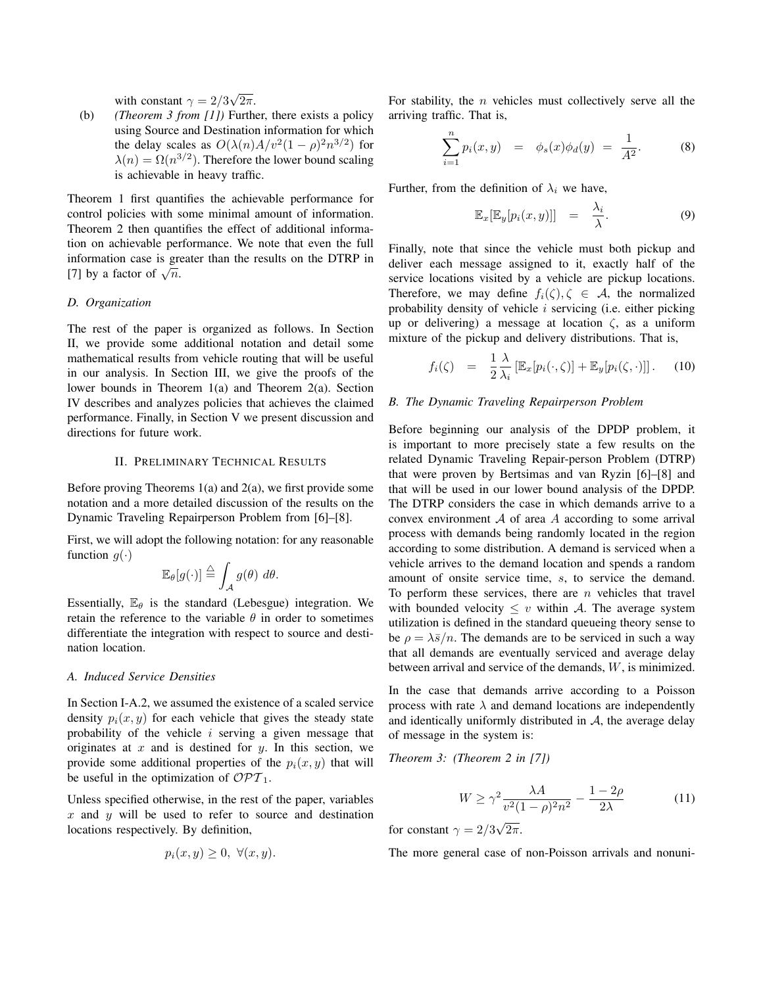with constant  $\gamma = 2/3$ √  $2\pi$ .

(b) *(Theorem 3 from [1])* Further, there exists a policy using Source and Destination information for which the delay scales as  $O(\lambda(n)A/v^2(1-\rho)^2n^{3/2})$  for  $\lambda(n) = \Omega(n^{3/2})$ . Therefore the lower bound scaling is achievable in heavy traffic.

Theorem 1 first quantifies the achievable performance for control policies with some minimal amount of information. Theorem 2 then quantifies the effect of additional information on achievable performance. We note that even the full information case is greater than the results on the DTRP in momation case is given<br>[7] by a factor of  $\sqrt{n}$ .

# *D. Organization*

The rest of the paper is organized as follows. In Section II, we provide some additional notation and detail some mathematical results from vehicle routing that will be useful in our analysis. In Section III, we give the proofs of the lower bounds in Theorem 1(a) and Theorem 2(a). Section IV describes and analyzes policies that achieves the claimed performance. Finally, in Section V we present discussion and directions for future work.

## II. PRELIMINARY TECHNICAL RESULTS

Before proving Theorems  $1(a)$  and  $2(a)$ , we first provide some notation and a more detailed discussion of the results on the Dynamic Traveling Repairperson Problem from [6]–[8].

First, we will adopt the following notation: for any reasonable function  $g(\cdot)$ 

$$
\mathbb{E}_{\theta}[g(\cdot)] \stackrel{\triangle}{=} \int_{\mathcal{A}} g(\theta) \, d\theta.
$$

Essentially,  $\mathbb{E}_{\theta}$  is the standard (Lebesgue) integration. We retain the reference to the variable  $\theta$  in order to sometimes differentiate the integration with respect to source and destination location.

## *A. Induced Service Densities*

In Section I-A.2, we assumed the existence of a scaled service density  $p_i(x, y)$  for each vehicle that gives the steady state probability of the vehicle  $i$  serving a given message that originates at  $x$  and is destined for  $y$ . In this section, we provide some additional properties of the  $p_i(x, y)$  that will be useful in the optimization of  $\mathcal{OPT}_1$ .

Unless specified otherwise, in the rest of the paper, variables  $x$  and  $y$  will be used to refer to source and destination locations respectively. By definition,

$$
p_i(x, y) \ge 0, \ \forall (x, y).
$$

For stability, the  $n$  vehicles must collectively serve all the arriving traffic. That is,

$$
\sum_{i=1}^{n} p_i(x, y) = \phi_s(x)\phi_d(y) = \frac{1}{A^2}.
$$
 (8)

Further, from the definition of  $\lambda_i$  we have,

$$
\mathbb{E}_x[\mathbb{E}_y[p_i(x,y)]] = \frac{\lambda_i}{\lambda}.
$$
 (9)

Finally, note that since the vehicle must both pickup and deliver each message assigned to it, exactly half of the service locations visited by a vehicle are pickup locations. Therefore, we may define  $f_i(\zeta), \zeta \in A$ , the normalized probability density of vehicle  $i$  servicing (i.e. either picking up or delivering) a message at location  $\zeta$ , as a uniform mixture of the pickup and delivery distributions. That is,

$$
f_i(\zeta) = \frac{1}{2} \frac{\lambda}{\lambda_i} \left[ \mathbb{E}_x[p_i(\cdot,\zeta)] + \mathbb{E}_y[p_i(\zeta,\cdot)] \right]. \tag{10}
$$

# *B. The Dynamic Traveling Repairperson Problem*

Before beginning our analysis of the DPDP problem, it is important to more precisely state a few results on the related Dynamic Traveling Repair-person Problem (DTRP) that were proven by Bertsimas and van Ryzin [6]–[8] and that will be used in our lower bound analysis of the DPDP. The DTRP considers the case in which demands arrive to a convex environment  $A$  of area  $A$  according to some arrival process with demands being randomly located in the region according to some distribution. A demand is serviced when a vehicle arrives to the demand location and spends a random amount of onsite service time, s, to service the demand. To perform these services, there are  $n$  vehicles that travel with bounded velocity  $\leq v$  within A. The average system utilization is defined in the standard queueing theory sense to be  $\rho = \lambda \bar{s}/n$ . The demands are to be serviced in such a way that all demands are eventually serviced and average delay between arrival and service of the demands, W, is minimized.

In the case that demands arrive according to a Poisson process with rate  $\lambda$  and demand locations are independently and identically uniformly distributed in  $A$ , the average delay of message in the system is:

*Theorem 3: (Theorem 2 in [7])*

$$
W \ge \gamma^2 \frac{\lambda A}{v^2 (1 - \rho)^2 n^2} - \frac{1 - 2\rho}{2\lambda} \tag{11}
$$

for constant  $\gamma = 2/3$ √  $2\pi$ .

The more general case of non-Poisson arrivals and nonuni-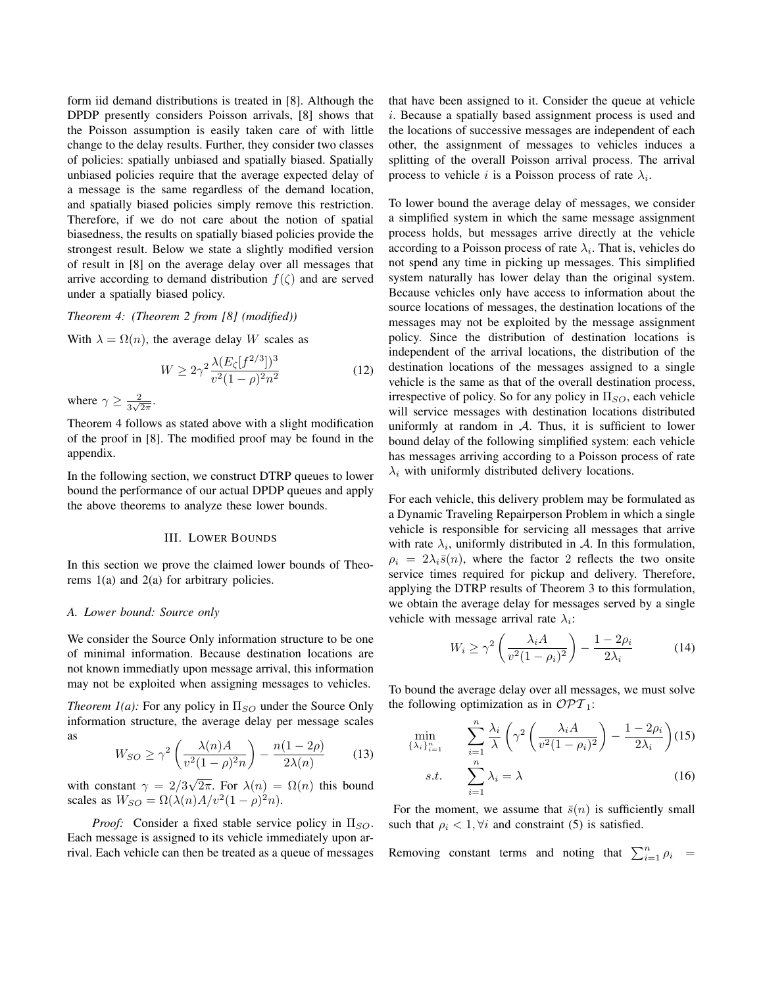form iid demand distributions is treated in [8]. Although the DPDP presently considers Poisson arrivals, [8] shows that the Poisson assumption is easily taken care of with little change to the delay results. Further, they consider two classes of policies: spatially unbiased and spatially biased. Spatially unbiased policies require that the average expected delay of a message is the same regardless of the demand location, and spatially biased policies simply remove this restriction. Therefore, if we do not care about the notion of spatial biasedness, the results on spatially biased policies provide the strongest result. Below we state a slightly modified version of result in [8] on the average delay over all messages that arrive according to demand distribution  $f(\zeta)$  and are served under a spatially biased policy.

# *Theorem 4: (Theorem 2 from [8] (modified))*

With  $\lambda = \Omega(n)$ , the average delay W scales as

$$
W \ge 2\gamma^2 \frac{\lambda (E_{\zeta}[f^{2/3}])^3}{v^2 (1 - \rho)^2 n^2}
$$
 (12)

where  $\gamma \geq \frac{2}{3\sqrt{3}}$  $\frac{2}{3\sqrt{2\pi}}$ .

Theorem 4 follows as stated above with a slight modification of the proof in [8]. The modified proof may be found in the appendix.

In the following section, we construct DTRP queues to lower bound the performance of our actual DPDP queues and apply the above theorems to analyze these lower bounds.

#### III. LOWER BOUNDS

In this section we prove the claimed lower bounds of Theorems 1(a) and 2(a) for arbitrary policies.

## *A. Lower bound: Source only*

We consider the Source Only information structure to be one of minimal information. Because destination locations are not known immediatly upon message arrival, this information may not be exploited when assigning messages to vehicles.

*Theorem 1(a):* For any policy in  $\Pi_{SO}$  under the Source Only information structure, the average delay per message scales as

$$
W_{SO} \ge \gamma^2 \left(\frac{\lambda(n)A}{v^2(1-\rho)^2 n}\right) - \frac{n(1-2\rho)}{2\lambda(n)}\tag{13}
$$

with constant  $\gamma = 2/3$ 2π. For  $\lambda(n) = \Omega(n)$  this bound scales as  $W_{SO} = \Omega(\lambda(n)A/v^2(1-\rho)^2n)$ .

*Proof:* Consider a fixed stable service policy in  $\Pi_{SO}$ . Each message is assigned to its vehicle immediately upon arrival. Each vehicle can then be treated as a queue of messages that have been assigned to it. Consider the queue at vehicle i. Because a spatially based assignment process is used and the locations of successive messages are independent of each other, the assignment of messages to vehicles induces a splitting of the overall Poisson arrival process. The arrival process to vehicle *i* is a Poisson process of rate  $\lambda_i$ .

To lower bound the average delay of messages, we consider a simplified system in which the same message assignment process holds, but messages arrive directly at the vehicle according to a Poisson process of rate  $\lambda_i$ . That is, vehicles do not spend any time in picking up messages. This simplified system naturally has lower delay than the original system. Because vehicles only have access to information about the source locations of messages, the destination locations of the messages may not be exploited by the message assignment policy. Since the distribution of destination locations is independent of the arrival locations, the distribution of the destination locations of the messages assigned to a single vehicle is the same as that of the overall destination process, irrespective of policy. So for any policy in  $\Pi_{SO}$ , each vehicle will service messages with destination locations distributed uniformly at random in  $A$ . Thus, it is sufficient to lower bound delay of the following simplified system: each vehicle has messages arriving according to a Poisson process of rate  $\lambda_i$  with uniformly distributed delivery locations.

For each vehicle, this delivery problem may be formulated as a Dynamic Traveling Repairperson Problem in which a single vehicle is responsible for servicing all messages that arrive with rate  $\lambda_i$ , uniformly distributed in A. In this formulation,  $\rho_i = 2\lambda_i \bar{s}(n)$ , where the factor 2 reflects the two onsite service times required for pickup and delivery. Therefore, applying the DTRP results of Theorem 3 to this formulation, we obtain the average delay for messages served by a single vehicle with message arrival rate  $\lambda_i$ :

$$
W_i \ge \gamma^2 \left(\frac{\lambda_i A}{v^2 (1 - \rho_i)^2}\right) - \frac{1 - 2\rho_i}{2\lambda_i} \tag{14}
$$

To bound the average delay over all messages, we must solve the following optimization as in  $\mathcal{OPT}_1$ :

$$
\min_{\{\lambda_i\}_{i=1}^n} \sum_{i=1}^n \frac{\lambda_i}{\lambda} \left(\gamma^2 \left(\frac{\lambda_i A}{v^2 (1-\rho_i)^2}\right) - \frac{1-2\rho_i}{2\lambda_i}\right) (15)
$$
  
s.t. 
$$
\sum_{i=1}^n \lambda_i = \lambda
$$
 (16)

For the moment, we assume that  $\bar{s}(n)$  is sufficiently small such that  $\rho_i < 1$ ,  $\forall i$  and constraint (5) is satisfied.

Removing constant terms and noting that  $\sum_{i=1}^{n} \rho_i$  =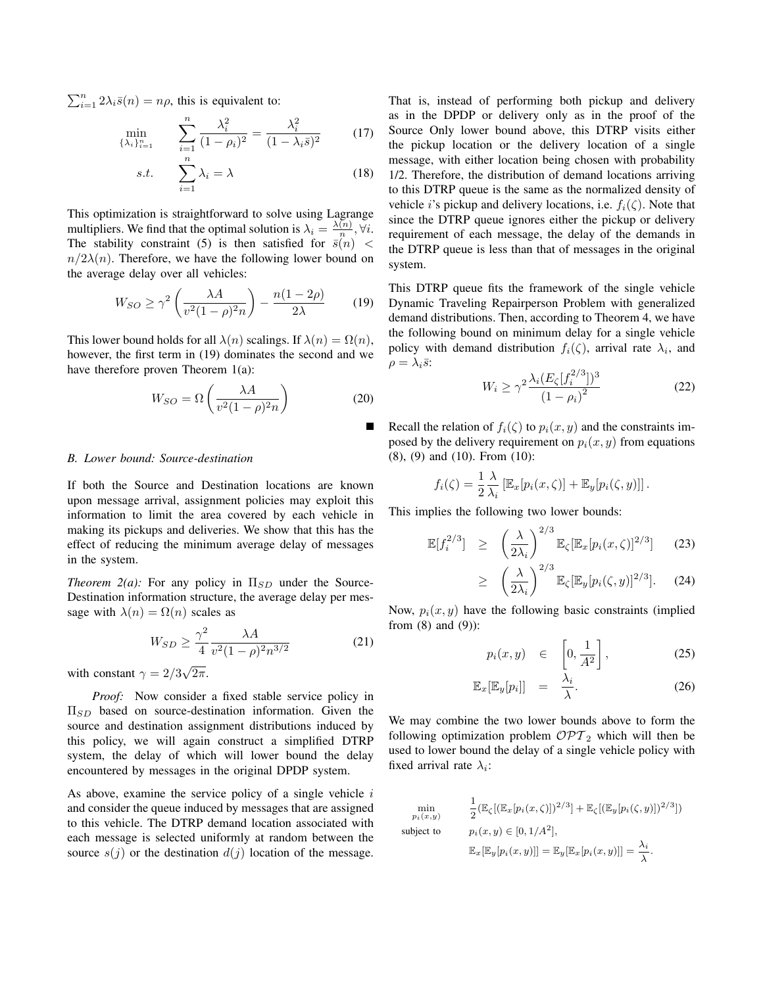$\sum_{i=1}^{n} 2\lambda_i \bar{s}(n) = n\rho$ , this is equivalent to:

$$
\min_{\{\lambda_i\}_{i=1}^n} \qquad \sum_{i=1}^n \frac{\lambda_i^2}{(1-\rho_i)^2} = \frac{\lambda_i^2}{(1-\lambda_i \bar{s})^2} \tag{17}
$$

$$
s.t. \qquad \sum_{i=1}^{n} \lambda_i = \lambda \tag{18}
$$

This optimization is straightforward to solve using Lagrange multipliers. We find that the optimal solution is  $\lambda_i = \frac{\lambda(n)}{n}$  $\frac{(n)}{n}, \forall i.$ The stability constraint (5) is then satisfied for  $\overline{s}(n)$  <  $n/2\lambda(n)$ . Therefore, we have the following lower bound on the average delay over all vehicles:

$$
W_{SO} \ge \gamma^2 \left(\frac{\lambda A}{v^2 (1 - \rho)^2 n}\right) - \frac{n(1 - 2\rho)}{2\lambda} \tag{19}
$$

This lower bound holds for all  $\lambda(n)$  scalings. If  $\lambda(n) = \Omega(n)$ , however, the first term in (19) dominates the second and we have therefore proven Theorem 1(a):

$$
W_{SO} = \Omega \left( \frac{\lambda A}{v^2 (1 - \rho)^2 n} \right) \tag{20}
$$

# *B. Lower bound: Source-destination*

If both the Source and Destination locations are known upon message arrival, assignment policies may exploit this information to limit the area covered by each vehicle in making its pickups and deliveries. We show that this has the effect of reducing the minimum average delay of messages in the system.

*Theorem 2(a):* For any policy in  $\Pi_{SD}$  under the Source-Destination information structure, the average delay per message with  $\lambda(n) = \Omega(n)$  scales as

$$
W_{SD} \ge \frac{\gamma^2}{4} \frac{\lambda A}{v^2 (1 - \rho)^2 n^{3/2}}\tag{21}
$$

with constant  $\gamma = 2/3$ √  $2\pi$ .

*Proof:* Now consider a fixed stable service policy in  $\Pi_{SD}$  based on source-destination information. Given the source and destination assignment distributions induced by this policy, we will again construct a simplified DTRP system, the delay of which will lower bound the delay encountered by messages in the original DPDP system.

As above, examine the service policy of a single vehicle  $i$ and consider the queue induced by messages that are assigned to this vehicle. The DTRP demand location associated with each message is selected uniformly at random between the source  $s(j)$  or the destination  $d(j)$  location of the message. That is, instead of performing both pickup and delivery as in the DPDP or delivery only as in the proof of the Source Only lower bound above, this DTRP visits either the pickup location or the delivery location of a single message, with either location being chosen with probability 1/2. Therefore, the distribution of demand locations arriving to this DTRP queue is the same as the normalized density of vehicle *i*'s pickup and delivery locations, i.e.  $f_i(\zeta)$ . Note that since the DTRP queue ignores either the pickup or delivery requirement of each message, the delay of the demands in the DTRP queue is less than that of messages in the original system.

This DTRP queue fits the framework of the single vehicle Dynamic Traveling Repairperson Problem with generalized demand distributions. Then, according to Theorem 4, we have the following bound on minimum delay for a single vehicle policy with demand distribution  $f_i(\zeta)$ , arrival rate  $\lambda_i$ , and  $\rho = \lambda_i \bar{s}$ :

$$
W_i \ge \gamma^2 \frac{\lambda_i (E_\zeta [f_i^{2/3}])^3}{(1 - \rho_i)^2}
$$
 (22)

Recall the relation of  $f_i(\zeta)$  to  $p_i(x, y)$  and the constraints imposed by the delivery requirement on  $p_i(x, y)$  from equations (8), (9) and (10). From (10):

$$
f_i(\zeta) = \frac{1}{2} \frac{\lambda}{\lambda_i} \left[ \mathbb{E}_x[p_i(x,\zeta)] + \mathbb{E}_y[p_i(\zeta,y)] \right].
$$

This implies the following two lower bounds:

$$
\mathbb{E}[f_i^{2/3}] \geq \left(\frac{\lambda}{2\lambda_i}\right)^{2/3} \mathbb{E}_{\zeta}[\mathbb{E}_x[p_i(x,\zeta)]^{2/3}] \qquad (23)
$$

$$
\geq \left(\frac{\lambda}{2\lambda_i}\right)^{2/3} \mathbb{E}_{\zeta}[\mathbb{E}_y[p_i(\zeta,y)]^{2/3}]. \quad (24)
$$

Now,  $p_i(x, y)$  have the following basic constraints (implied from (8) and (9)):

$$
p_i(x,y) \in \left[0,\frac{1}{A^2}\right], \tag{25}
$$

$$
\mathbb{E}_x[\mathbb{E}_y[p_i]] = \frac{\lambda_i}{\lambda}.
$$
 (26)

We may combine the two lower bounds above to form the following optimization problem  $\mathcal{OPT}_2$  which will then be used to lower bound the delay of a single vehicle policy with fixed arrival rate  $\lambda_i$ :

$$
\min_{p_i(x,y)} \qquad \frac{1}{2} (\mathbb{E}_{\zeta} [(\mathbb{E}_x [p_i(x,\zeta)])^{2/3}] + \mathbb{E}_{\zeta} [(\mathbb{E}_y [p_i(\zeta,y)])^{2/3}])
$$
\n
$$
\text{subject to} \qquad p_i(x,y) \in [0, 1/A^2],
$$
\n
$$
\mathbb{E}_x [\mathbb{E}_y [p_i(x,y)]] = \mathbb{E}_y [\mathbb{E}_x [p_i(x,y)]] = \frac{\lambda_i}{\lambda}.
$$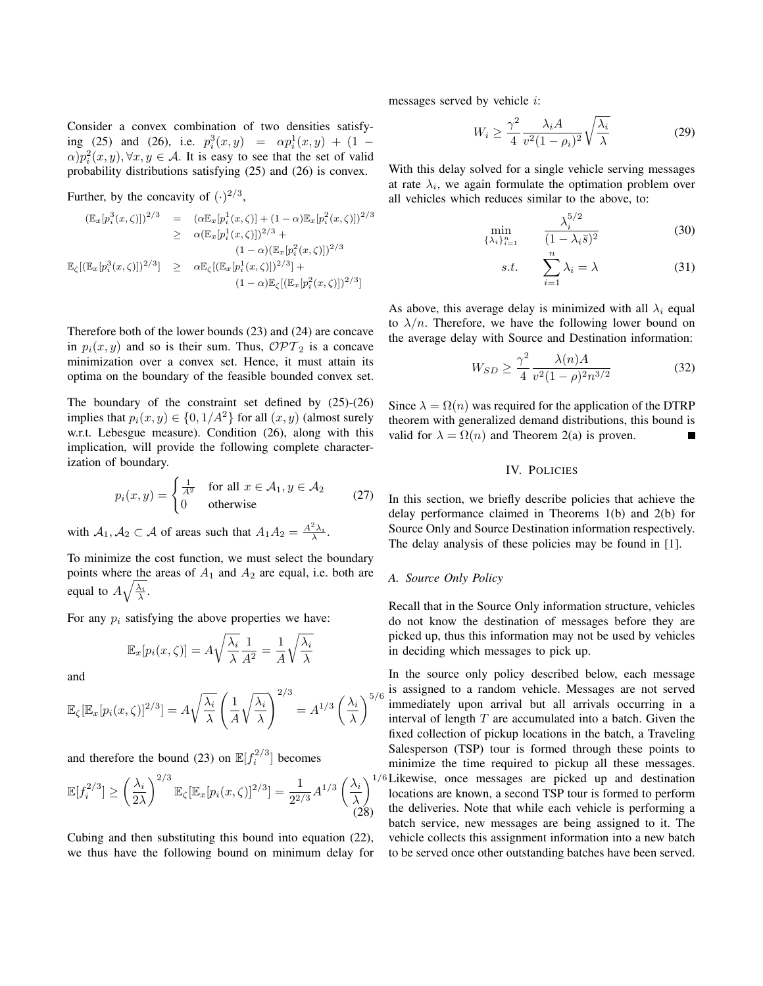Consider a convex combination of two densities satisfying (25) and (26), i.e.  $p_i^3(x, y) = \alpha p_i^1(x, y) + (1 \alpha$ ) $p_i^2(x, y)$ ,  $\forall x, y \in A$ . It is easy to see that the set of valid probability distributions satisfying (25) and (26) is convex.

Further, by the concavity of 
$$
(.)^{2/3}
$$
,

$$
(\mathbb{E}_x[p_i^3(x,\zeta)])^{2/3} = (\alpha \mathbb{E}_x[p_i^1(x,\zeta)] + (1-\alpha)\mathbb{E}_x[p_i^2(x,\zeta)])^{2/3}
$$
  
\n
$$
\geq \alpha (\mathbb{E}_x[p_i^1(x,\zeta)])^{2/3} + (1-\alpha)(\mathbb{E}_x[p_i^2(x,\zeta)])^{2/3}
$$
  
\n
$$
\mathbb{E}_{\zeta}[(\mathbb{E}_x[p_i^3(x,\zeta)])^{2/3}] \geq \alpha \mathbb{E}_{\zeta}[(\mathbb{E}_x[p_i^1(x,\zeta)])^{2/3}] + (1-\alpha)\mathbb{E}_{\zeta}[(\mathbb{E}_x[p_i^2(x,\zeta)])^{2/3}]
$$

Therefore both of the lower bounds (23) and (24) are concave in  $p_i(x, y)$  and so is their sum. Thus,  $\mathcal{OPT}_2$  is a concave minimization over a convex set. Hence, it must attain its optima on the boundary of the feasible bounded convex set.

The boundary of the constraint set defined by (25)-(26) implies that  $p_i(x, y) \in \{0, 1/A^2\}$  for all  $(x, y)$  (almost surely w.r.t. Lebesgue measure). Condition (26), along with this implication, will provide the following complete characterization of boundary.

$$
p_i(x, y) = \begin{cases} \frac{1}{A^2} & \text{for all } x \in \mathcal{A}_1, y \in \mathcal{A}_2 \\ 0 & \text{otherwise} \end{cases}
$$
 (27)

with  $A_1, A_2 \subset A$  of areas such that  $A_1 A_2 = \frac{A^2 \lambda_i}{\lambda}$ .

To minimize the cost function, we must select the boundary points where the areas of  $A_1$  and  $A_2$  are equal, i.e. both are equal to  $A\sqrt{\frac{\lambda_i}{\lambda}}$ .

For any  $p_i$  satisfying the above properties we have:

$$
\mathbb{E}_x[p_i(x,\zeta)] = A\sqrt{\frac{\lambda_i}{\lambda}}\frac{1}{A^2} = \frac{1}{A}\sqrt{\frac{\lambda_i}{\lambda}}
$$

and

$$
\mathbb{E}_{\zeta}[\mathbb{E}_x[p_i(x,\zeta)]^{2/3}] = A\sqrt{\frac{\lambda_i}{\lambda}} \left(\frac{1}{A}\sqrt{\frac{\lambda_i}{\lambda}}\right)^{2/3} = A^{1/3} \left(\frac{\lambda_i}{\lambda}\right)^{5/3}
$$

and therefore the bound (23) on  $\mathbb{E}[f_i^{2/3}]$  becomes

$$
\mathbb{E}[f_i^{2/3}] \ge \left(\frac{\lambda_i}{2\lambda}\right)^{2/3} \mathbb{E}_{\zeta}[\mathbb{E}_x[p_i(x,\zeta)]^{2/3}] = \frac{1}{2^{2/3}} A^{1/3} \left(\frac{\lambda_i}{\lambda}\right)^{1/3} (28)
$$

Cubing and then substituting this bound into equation (22), we thus have the following bound on minimum delay for messages served by vehicle i:

$$
W_i \ge \frac{\gamma^2}{4} \frac{\lambda_i A}{v^2 (1 - \rho_i)^2} \sqrt{\frac{\lambda_i}{\lambda}}
$$
 (29)

With this delay solved for a single vehicle serving messages at rate  $\lambda_i$ , we again formulate the optimation problem over all vehicles which reduces similar to the above, to:

$$
\min_{\{\lambda_i\}_{i=1}^n} \qquad \frac{\lambda_i^{5/2}}{(1-\lambda_i \bar{s})^2} \tag{30}
$$

$$
s.t. \qquad \sum_{i=1}^{n} \lambda_i = \lambda \tag{31}
$$

As above, this average delay is minimized with all  $\lambda_i$  equal to  $\lambda/n$ . Therefore, we have the following lower bound on the average delay with Source and Destination information:

$$
W_{SD} \ge \frac{\gamma^2}{4} \frac{\lambda(n)A}{v^2(1-\rho)^2 n^{3/2}}
$$
 (32)

Since  $\lambda = \Omega(n)$  was required for the application of the DTRP theorem with generalized demand distributions, this bound is valid for  $\lambda = \Omega(n)$  and Theorem 2(a) is proven.

## IV. POLICIES

In this section, we briefly describe policies that achieve the delay performance claimed in Theorems 1(b) and 2(b) for Source Only and Source Destination information respectively. The delay analysis of these policies may be found in [1].

# *A. Source Only Policy*

Recall that in the Source Only information structure, vehicles do not know the destination of messages before they are picked up, thus this information may not be used by vehicles in deciding which messages to pick up.

 $\int_{0}^{5/6}$  is assigned to a random vehicle. Messages are not served<br> $\int_{0}^{5/6}$  immediately upon arrival but all arrivals occurring in a  $\lambda^{1/6}$ Likewise, once messages are picked up and destination In the source only policy described below, each message immediately upon arrival but all arrivals occurring in a interval of length  $T$  are accumulated into a batch. Given the fixed collection of pickup locations in the batch, a Traveling Salesperson (TSP) tour is formed through these points to minimize the time required to pickup all these messages. locations are known, a second TSP tour is formed to perform the deliveries. Note that while each vehicle is performing a batch service, new messages are being assigned to it. The vehicle collects this assignment information into a new batch to be served once other outstanding batches have been served.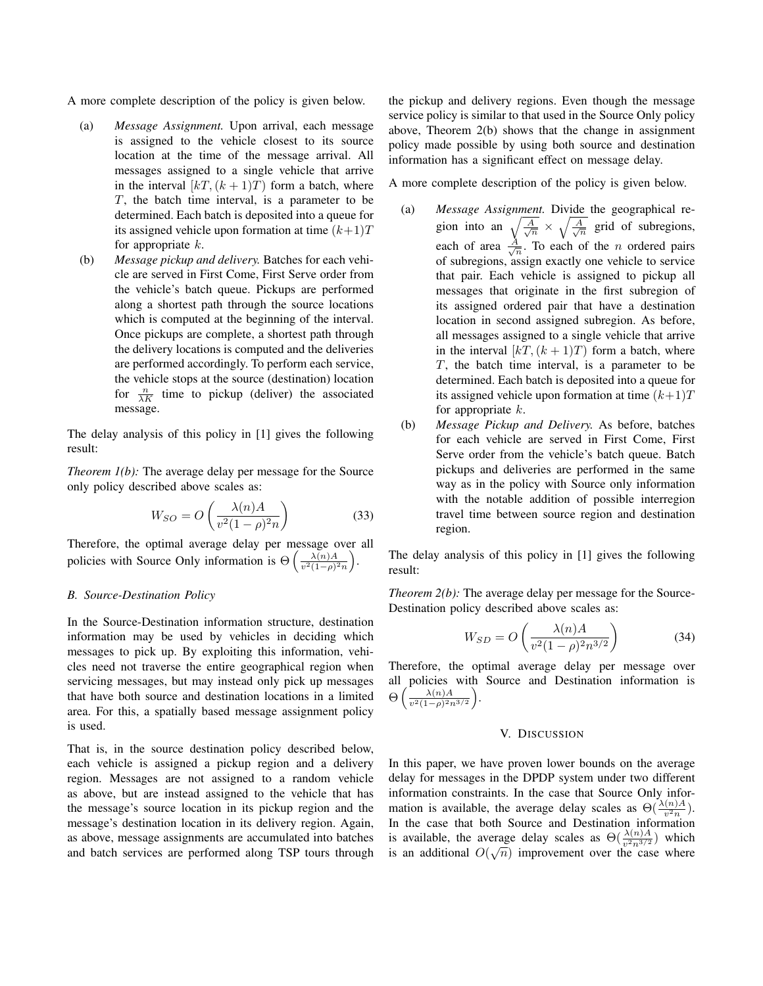A more complete description of the policy is given below.

- (a) *Message Assignment.* Upon arrival, each message is assigned to the vehicle closest to its source location at the time of the message arrival. All messages assigned to a single vehicle that arrive in the interval  $[kT,(k+1)T)$  form a batch, where T, the batch time interval, is a parameter to be determined. Each batch is deposited into a queue for its assigned vehicle upon formation at time  $(k+1)T$ for appropriate  $k$ .
- (b) *Message pickup and delivery.* Batches for each vehicle are served in First Come, First Serve order from the vehicle's batch queue. Pickups are performed along a shortest path through the source locations which is computed at the beginning of the interval. Once pickups are complete, a shortest path through the delivery locations is computed and the deliveries are performed accordingly. To perform each service, the vehicle stops at the source (destination) location for  $\frac{n}{\lambda K}$  time to pickup (deliver) the associated message.

The delay analysis of this policy in [1] gives the following result:

*Theorem 1(b):* The average delay per message for the Source only policy described above scales as:

$$
W_{SO} = O\left(\frac{\lambda(n)A}{v^2(1-\rho)^2n}\right) \tag{33}
$$

Therefore, the optimal average delay per message over all policies with Source Only information is  $\Theta\left(\frac{\lambda(n)A}{n^2(1-\alpha)^2}\right)$  $\frac{\lambda(n)A}{v^2(1-\rho)^2n}$ .

# *B. Source-Destination Policy*

In the Source-Destination information structure, destination information may be used by vehicles in deciding which messages to pick up. By exploiting this information, vehicles need not traverse the entire geographical region when servicing messages, but may instead only pick up messages that have both source and destination locations in a limited area. For this, a spatially based message assignment policy is used.

That is, in the source destination policy described below, each vehicle is assigned a pickup region and a delivery region. Messages are not assigned to a random vehicle as above, but are instead assigned to the vehicle that has the message's source location in its pickup region and the message's destination location in its delivery region. Again, as above, message assignments are accumulated into batches and batch services are performed along TSP tours through the pickup and delivery regions. Even though the message service policy is similar to that used in the Source Only policy above, Theorem 2(b) shows that the change in assignment policy made possible by using both source and destination information has a significant effect on message delay.

A more complete description of the policy is given below.

- (a) *Message Assignment.* Divide the geographical region into an  $\sqrt{\frac{A}{\sqrt{n}}} \times \sqrt{\frac{A}{\sqrt{n}}}$  grid of subregions, each of area  $\frac{A}{\sqrt{n}}$ . To each of the *n* ordered pairs of subregions, assign exactly one vehicle to service that pair. Each vehicle is assigned to pickup all messages that originate in the first subregion of its assigned ordered pair that have a destination location in second assigned subregion. As before, all messages assigned to a single vehicle that arrive in the interval  $[kT,(k+1)T)$  form a batch, where T, the batch time interval, is a parameter to be determined. Each batch is deposited into a queue for its assigned vehicle upon formation at time  $(k+1)T$ for appropriate  $k$ .
- (b) *Message Pickup and Delivery.* As before, batches for each vehicle are served in First Come, First Serve order from the vehicle's batch queue. Batch pickups and deliveries are performed in the same way as in the policy with Source only information with the notable addition of possible interregion travel time between source region and destination region.

The delay analysis of this policy in [1] gives the following result:

*Theorem 2(b):* The average delay per message for the Source-Destination policy described above scales as:

$$
W_{SD} = O\left(\frac{\lambda(n)A}{v^2(1-\rho)^2 n^{3/2}}\right)
$$
 (34)

Therefore, the optimal average delay per message over all policies with Source and Destination information is  $\Theta\left(\frac{\lambda(n)A}{n^2(1-\alpha)^2r}\right)$  $\frac{\lambda(n)A}{v^2(1-\rho)^2n^{3/2}}$ .

# V. DISCUSSION

In this paper, we have proven lower bounds on the average delay for messages in the DPDP system under two different information constraints. In the case that Source Only information is available, the average delay scales as  $\Theta(\frac{\lambda(n)A}{v^2n})$ . In the case that both Source and Destination information is available, the average delay scales as  $\Theta(\frac{\lambda(n)A}{v^2n^{3/2}})$  which is an additional  $O(\sqrt{n})$  improvement over the case where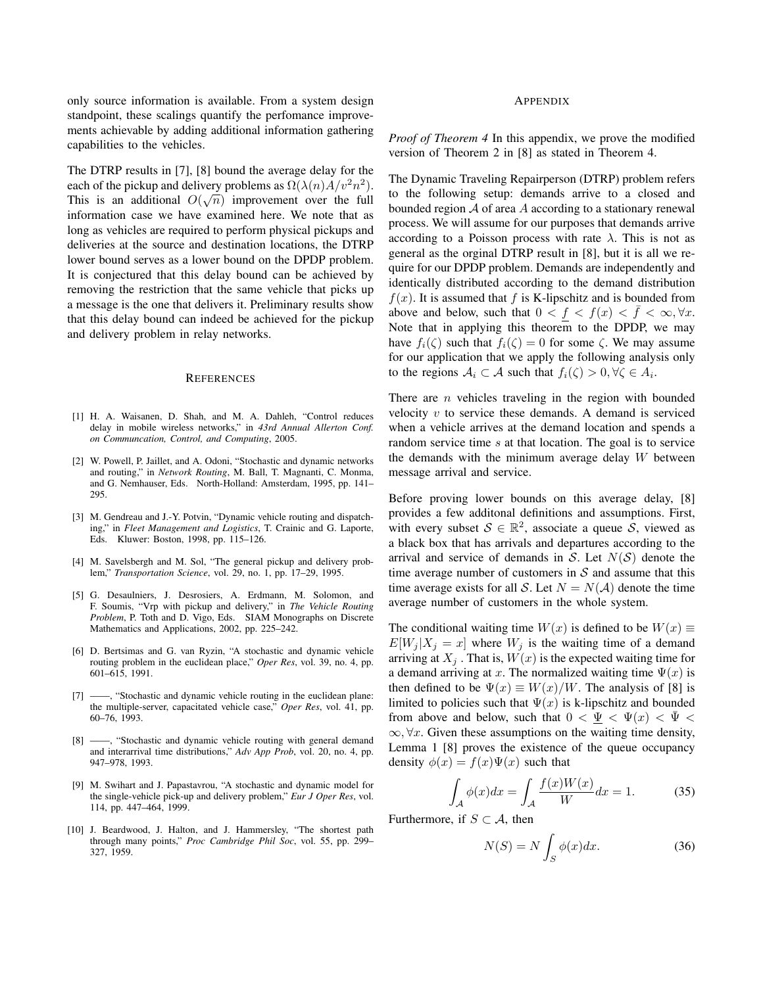only source information is available. From a system design standpoint, these scalings quantify the perfomance improvements achievable by adding additional information gathering capabilities to the vehicles.

The DTRP results in [7], [8] bound the average delay for the each of the pickup and delivery problems as  $\Omega(\lambda(n)A/v^2n^2)$ . This is an additional  $O(\sqrt{n})$  improvement over the full information case we have examined here. We note that as long as vehicles are required to perform physical pickups and deliveries at the source and destination locations, the DTRP lower bound serves as a lower bound on the DPDP problem. It is conjectured that this delay bound can be achieved by removing the restriction that the same vehicle that picks up a message is the one that delivers it. Preliminary results show that this delay bound can indeed be achieved for the pickup and delivery problem in relay networks.

#### **REFERENCES**

- [1] H. A. Waisanen, D. Shah, and M. A. Dahleh, "Control reduces delay in mobile wireless networks," in *43rd Annual Allerton Conf. on Communcation, Control, and Computing*, 2005.
- [2] W. Powell, P. Jaillet, and A. Odoni, "Stochastic and dynamic networks and routing," in *Network Routing*, M. Ball, T. Magnanti, C. Monma, and G. Nemhauser, Eds. North-Holland: Amsterdam, 1995, pp. 141– 295.
- [3] M. Gendreau and J.-Y. Potvin, "Dynamic vehicle routing and dispatching," in *Fleet Management and Logistics*, T. Crainic and G. Laporte, Eds. Kluwer: Boston, 1998, pp. 115–126.
- [4] M. Savelsbergh and M. Sol, "The general pickup and delivery problem," *Transportation Science*, vol. 29, no. 1, pp. 17–29, 1995.
- [5] G. Desaulniers, J. Desrosiers, A. Erdmann, M. Solomon, and F. Soumis, "Vrp with pickup and delivery," in *The Vehicle Routing Problem*, P. Toth and D. Vigo, Eds. SIAM Monographs on Discrete Mathematics and Applications, 2002, pp. 225–242.
- [6] D. Bertsimas and G. van Ryzin, "A stochastic and dynamic vehicle routing problem in the euclidean place," *Oper Res*, vol. 39, no. 4, pp. 601–615, 1991.
- [7] ——, "Stochastic and dynamic vehicle routing in the euclidean plane: the multiple-server, capacitated vehicle case," *Oper Res*, vol. 41, pp. 60–76, 1993.
- [8] ——, "Stochastic and dynamic vehicle routing with general demand and interarrival time distributions," *Adv App Prob*, vol. 20, no. 4, pp. 947–978, 1993.
- [9] M. Swihart and J. Papastavrou, "A stochastic and dynamic model for the single-vehicle pick-up and delivery problem," *Eur J Oper Res*, vol. 114, pp. 447–464, 1999.
- [10] J. Beardwood, J. Halton, and J. Hammersley, "The shortest path through many points," *Proc Cambridge Phil Soc*, vol. 55, pp. 299– 327, 1959.

#### APPENDIX

*Proof of Theorem 4* In this appendix, we prove the modified version of Theorem 2 in [8] as stated in Theorem 4.

The Dynamic Traveling Repairperson (DTRP) problem refers to the following setup: demands arrive to a closed and bounded region  $A$  of area  $A$  according to a stationary renewal process. We will assume for our purposes that demands arrive according to a Poisson process with rate  $\lambda$ . This is not as general as the orginal DTRP result in [8], but it is all we require for our DPDP problem. Demands are independently and identically distributed according to the demand distribution  $f(x)$ . It is assumed that f is K-lipschitz and is bounded from above and below, such that  $0 < f < f(x) < f < \infty, \forall x$ . Note that in applying this theorem to the DPDP, we may have  $f_i(\zeta)$  such that  $f_i(\zeta) = 0$  for some  $\zeta$ . We may assume for our application that we apply the following analysis only to the regions  $A_i \subset A$  such that  $f_i(\zeta) > 0, \forall \zeta \in A_i$ .

There are  $n$  vehicles traveling in the region with bounded velocity  $v$  to service these demands. A demand is serviced when a vehicle arrives at the demand location and spends a random service time s at that location. The goal is to service the demands with the minimum average delay  $W$  between message arrival and service.

Before proving lower bounds on this average delay, [8] provides a few additonal definitions and assumptions. First, with every subset  $S \in \mathbb{R}^2$ , associate a queue  $\overline{S}$ , viewed as a black box that has arrivals and departures according to the arrival and service of demands in S. Let  $N(S)$  denote the time average number of customers in  $S$  and assume that this time average exists for all S. Let  $N = N(\mathcal{A})$  denote the time average number of customers in the whole system.

The conditional waiting time  $W(x)$  is defined to be  $W(x) \equiv$  $E[W_j | X_j = x]$  where  $W_j$  is the waiting time of a demand arriving at  $X_i$ . That is,  $W(x)$  is the expected waiting time for a demand arriving at x. The normalized waiting time  $\Psi(x)$  is then defined to be  $\Psi(x) \equiv W(x)/W$ . The analysis of [8] is limited to policies such that  $\Psi(x)$  is k-lipschitz and bounded from above and below, such that  $0 < \underline{\Psi} < \Psi(x) < \overline{\Psi} <$  $\infty$ ,  $\forall x$ . Given these assumptions on the waiting time density, Lemma 1 [8] proves the existence of the queue occupancy density  $\phi(x) = f(x)\Psi(x)$  such that

$$
\int_{\mathcal{A}} \phi(x)dx = \int_{\mathcal{A}} \frac{f(x)W(x)}{W}dx = 1.
$$
 (35)

Furthermore, if  $S \subset A$ , then

$$
N(S) = N \int_{S} \phi(x) dx.
$$
 (36)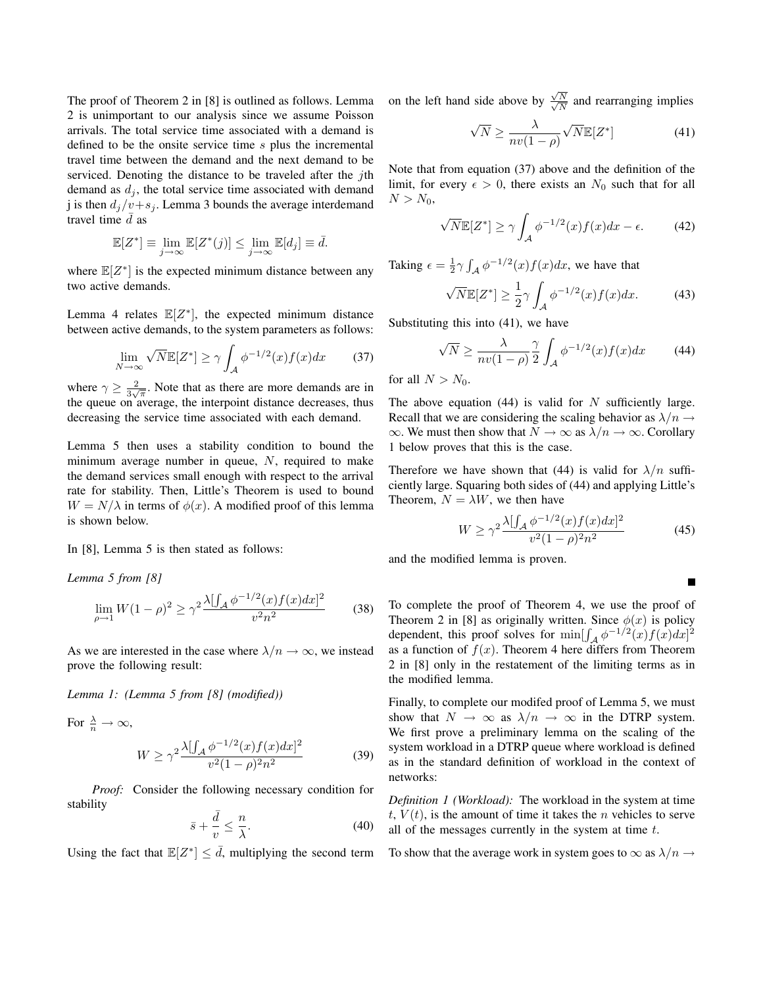The proof of Theorem 2 in [8] is outlined as follows. Lemma 2 is unimportant to our analysis since we assume Poisson arrivals. The total service time associated with a demand is defined to be the onsite service time s plus the incremental travel time between the demand and the next demand to be serviced. Denoting the distance to be traveled after the jth demand as  $d_j$ , the total service time associated with demand j is then  $d_j/v+s_j$ . Lemma 3 bounds the average interdemand travel time  $\bar{d}$  as

$$
\mathbb{E}[Z^*] \equiv \lim_{j \to \infty} \mathbb{E}[Z^*(j)] \le \lim_{j \to \infty} \mathbb{E}[d_j] \equiv \bar{d}.
$$

where  $\mathbb{E}[Z^*]$  is the expected minimum distance between any two active demands.

Lemma 4 relates  $\mathbb{E}[Z^*]$ , the expected minimum distance between active demands, to the system parameters as follows:

$$
\lim_{N \to \infty} \sqrt{N} \mathbb{E}[Z^*] \ge \gamma \int_{\mathcal{A}} \phi^{-1/2}(x) f(x) dx \qquad (37)
$$

where  $\gamma \geq \frac{2}{3\sqrt{\pi}}$ . Note that as there are more demands are in the queue on average, the interpoint distance decreases, thus decreasing the service time associated with each demand.

Lemma 5 then uses a stability condition to bound the minimum average number in queue,  $N$ , required to make the demand services small enough with respect to the arrival rate for stability. Then, Little's Theorem is used to bound  $W = N/\lambda$  in terms of  $\phi(x)$ . A modified proof of this lemma is shown below.

In [8], Lemma 5 is then stated as follows:

*Lemma 5 from [8]*

$$
\lim_{\rho \to 1} W(1 - \rho)^2 \ge \gamma^2 \frac{\lambda [\int_{\mathcal{A}} \phi^{-1/2}(x) f(x) dx]^2}{v^2 n^2} \tag{38}
$$

As we are interested in the case where  $\lambda/n \to \infty$ , we instead prove the following result:

*Lemma 1: (Lemma 5 from [8] (modified))*

For 
$$
\frac{\lambda}{n} \to \infty
$$
,  
\n
$$
W \ge \gamma^2 \frac{\lambda [\int_{\mathcal{A}} \phi^{-1/2}(x) f(x) dx]^2}{v^2 (1 - \rho)^2 n^2}
$$
\n(39)

*Proof:* Consider the following necessary condition for stability

$$
\bar{s} + \frac{\bar{d}}{v} \le \frac{n}{\lambda}.\tag{40}
$$

Using the fact that  $\mathbb{E}[Z^*] \leq d$ , multiplying the second term

on the left hand side above by  $\frac{\sqrt{}}{\sqrt{2}}$  $\frac{\sqrt{N}}{2}$  $\frac{N}{N}$  and rearranging implies

$$
\sqrt{N} \ge \frac{\lambda}{nv(1-\rho)} \sqrt{N} \mathbb{E}[Z^*] \tag{41}
$$

Note that from equation (37) above and the definition of the limit, for every  $\epsilon > 0$ , there exists an  $N_0$  such that for all  $N > N_0$ ,

$$
\sqrt{N}\mathbb{E}[Z^*] \ge \gamma \int_{\mathcal{A}} \phi^{-1/2}(x) f(x) dx - \epsilon.
$$
 (42)

Taking  $\epsilon = \frac{1}{2}\gamma \int_{A} \phi^{-1/2}(x) f(x) dx$ , we have that

$$
\sqrt{N}\mathbb{E}[Z^*] \ge \frac{1}{2}\gamma \int_{\mathcal{A}} \phi^{-1/2}(x) f(x) dx. \tag{43}
$$

Substituting this into (41), we have

$$
\sqrt{N} \ge \frac{\lambda}{nv(1-\rho)} \frac{\gamma}{2} \int_{\mathcal{A}} \phi^{-1/2}(x) f(x) dx \tag{44}
$$

for all  $N > N_0$ .

The above equation  $(44)$  is valid for N sufficiently large. Recall that we are considering the scaling behavior as  $\lambda/n \rightarrow$  $\infty$ . We must then show that  $N \to \infty$  as  $\lambda/n \to \infty$ . Corollary 1 below proves that this is the case.

Therefore we have shown that (44) is valid for  $\lambda/n$  sufficiently large. Squaring both sides of (44) and applying Little's Theorem,  $N = \lambda W$ , we then have

$$
W \ge \gamma^2 \frac{\lambda [\int_{\mathcal{A}} \phi^{-1/2}(x) f(x) dx]^2}{v^2 (1 - \rho)^2 n^2} \tag{45}
$$

and the modified lemma is proven.

To complete the proof of Theorem 4, we use the proof of Theorem 2 in [8] as originally written. Since  $\phi(x)$  is policy dependent, this proof solves for  $\min[\int_{\mathcal{A}} \phi^{-1/2}(x) f(x) dx]^2$ as a function of  $f(x)$ . Theorem 4 here differs from Theorem 2 in [8] only in the restatement of the limiting terms as in the modified lemma.

Finally, to complete our modifed proof of Lemma 5, we must show that  $N \to \infty$  as  $\lambda/n \to \infty$  in the DTRP system. We first prove a preliminary lemma on the scaling of the system workload in a DTRP queue where workload is defined as in the standard definition of workload in the context of networks:

*Definition 1 (Workload):* The workload in the system at time  $t, V(t)$ , is the amount of time it takes the *n* vehicles to serve all of the messages currently in the system at time  $t$ .

To show that the average work in system goes to  $\infty$  as  $\lambda/n \rightarrow$